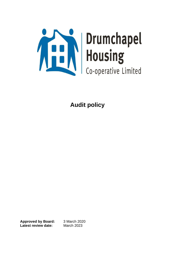

**Approved by Board:** 3 March 2020 **Latest review date:** March 2023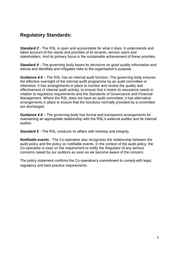# **Regulatory Standards:**

*Standard 2* - The RSL is open and accountable for what it does. It understands and takes account of the needs and priorities of its tenants, service users and stakeholders. And its primary focus is the sustainable achievement of these priorities.

*Standard 4 -* The governing body bases its decisions on good quality information and advice and identifies and mitigates risks to the organisation's purpose.

*Guidance 4.5* – The RSL has an internal audit function. The governing body ensures the effective oversight of the internal audit programme by an audit committee or otherwise. It has arrangements in place to monitor and review the quality and effectiveness of internal audit activity, to ensure that it meets its assurance needs in relation to regulatory requirements and the Standards of Governance and Financial Management. Where the RSL does not have an audit committee, it has alternative arrangements in place to ensure that the functions normally provided by a committee are discharged.

*Guidance 4.6* – The governing body has formal and transparent arrangements for maintaining an appropriate relationship with the RSL's external auditor and its internal auditor.

**Standard 5** - The RSL conducts its affairs with honesty and integrity.

*Notifiable events -* The Co-operative also recognises the relationship between the audit policy and the policy on notifiable events. In the context of the audit policy, the Co-operative is clear on the requirement to notify the Regulator of any serious concerns raised by our auditors as soon as we become aware of the concern.

The policy statement confirms the Co-operative's commitment to complywith legal, regulatory and best practice requirements.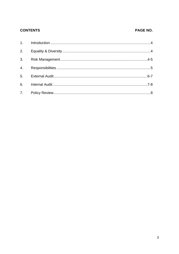### **CONTENTS**

### PAGE NO.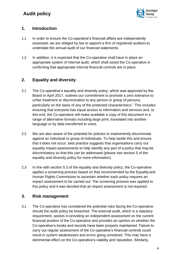

## **1. Introduction**

- 1.1 In order to ensure the Co-operative's financial affairs are independently assessed, we are obliged by law to appoint a firm of registered auditors to undertake the annual audit of our financial statements.
- 1.2 In addition, it is expected that the Co-operative shall have in place an appropriate system of internal audit, which shall assist the Co-operative in confirming that appropriate internal financial controls are in place.

## **2. Equality and diversity**

- 2.1 The Co-operative's equality and diversity policy, which was approved by the Board in April 2017, outlines our commitment to promote a zero tolerance to unfair treatment or discrimination to any person or group of persons, particularly on the basis of any of the protected characteristics<sup>1</sup>. This includes ensuring that everyone has equal access to information and services and, to this end, the Co-operative will make available a copy of this document in a range of alternative formats including large print, translated into another language or by data transferred to voice.
- 2.2 We are also aware of the potential for policies to inadvertently discriminate against an individual or group of individuals. To help tackle this and ensure that it does not occur, best practice suggests that organisations carry out equality impact assessments to help identify any part of a policy that may be discriminatory so that this can be addressed (please see section 5 of the equality and diversity policy for more information).
- 2.3 In line with section 5.3 of the equality and diversity policy, the Co-operative applies a screening process based on that recommended by the Equality and Human Rights Commission to ascertain whether each policy requires an impact assessment to be carried out. The screening process was applied to this policy and it was decided that an impact assessment is not required.

## **3. Risk management**

3.1 The Co-operative has considered the potential risks facing the Co-operative should the audit policy be breached. The external audit, which is a statutory requirement, assists in providing an independent assessment on the current financial position of the Co-operative and provides an opinion on whether the Co-operative's books and records have been properly maintained. Failure to carry out regular assessment of the Co-operative's financial controls could result in system weaknesses and errors going unnoticed. This may have a detrimental effect on the Co-operative's viability and reputation. Similarly,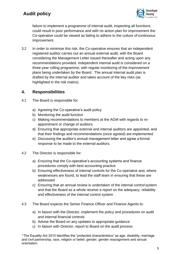

failure to implement a programme of internal audit, inspecting all functions, could result in poor performance and with no action plan for improvement the Co-operative could be viewed as failing to adhere to the culture of continuous improvement.

3.2 In order to minimise this risk, the Co-operative ensures that an independent registered auditor carries out an annual external audit, with the Board considering the Management Letter issued thereafter and acting upon any recommendations provided. Independent internal audit is considered on a three-year rolling programme, with regular monitoring of the improvement plans being undertaken by the Board. The annual internal audit plan is drafted by the internal auditor and takes account of the key risks (as highlighted in the risk matrix).

## **4. Responsibilities**

- 4.1 The Board is responsible for:
	- a) Agreeing the Co-operative's audit policy
	- b) Monitoring the audit function
	- c) Making recommendations to members at the AGM with regards to reappointment or change of auditors
	- d) Ensuring that appropriate external and internal auditors are appointed, and that their findings and recommendations (once agreed) are implemented
	- e) Discussing the auditor's annual management letter and agree a formal response to be made to the external auditors.
- 4.2 The Director is responsible for:
	- a) Ensuring that the Co-operative's accounting systems and finance procedures comply with best accounting practice
	- b) Ensuring effectiveness of internal controls for the Co-operative and, where weaknesses are found, to lead the staff team in ensuring that these are addressed
	- c) Ensuring that an annual review is undertaken of the internal control system and that the Board as a whole receive a report on the adequacy, reliability and effectiveness of the internal control system
- 4.3 The Board expects the Senior Finance Officer and Finance Agents to:
	- a) In liaison with the Director, implement the policy and procedures on audit and internal financial controls
	- b) Advise the Board on any updates to appropriate guidance
	- c) In liaison with Director, report to Board on the audit process

<sup>1</sup>The Equality Act 2010 identifies the "protected characteristics" as age, disability, marriage and civil partnership, race, religion or belief, gender, gender reassignment and sexual orientation.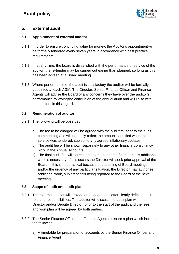

### **5. External audit**

#### **5.1 Appointment of external auditor**

- 5.1.1 In order to ensure continuing value for money, the Auditor's appointmentwill be formally tendered every seven years in accordance with best practice requirements.
- 5.1.2 If, at any time, the board is dissatisfied with the performance or service of the auditor, the re-tender may be carried out earlier than planned, so long as this has been agreed at a Board meeting.
- 5.1.3 Where performance of the audit is satisfactory the auditor will be formally appointed at each AGM. The Director, Senior Finance Officer and Finance Agents will advise the Board of any concerns they have over the auditor's performance following the conclusion of the annual audit and will liaise with the auditors in this regard.

#### **5.2 Remuneration of auditor**

- 5.2.1 The following will be observed:
	- a) The fee to be charged will be agreed with the auditors, prior to the audit commencing and will normally reflect the amount specified when the service was tendered, subject to any agreed inflationary updates
	- b) The audit fee will be shown separately to any other financial consultancy work in the Annual Accounts.
	- c) The final audit fee will correspond to the budgeted figure, unless additional work is necessary. If this occurs the Director will seek prior approval of the Board; if this is not practical because of the timing of Board meetings and/or the urgency of any particular situation, the Director may authorise additional work, subject to this being reported to the Board at the next meeting

#### **5.3 Scope of audit and audit plan**

- 5.3.1 The external auditor will provide an engagement letter clearly defining their role and responsibilities. The auditor will discuss the audit plan with the Director and/or Depute Director, prior to the start of the audit and the fees and workplan will be agreed by both parties.
- 5.3.2 The Senior Finance Officer and Finance Agents prepare a plan which includes the following:
	- a) A timetable for preparation of accounts by the Senior Finance Officer and Finance Agent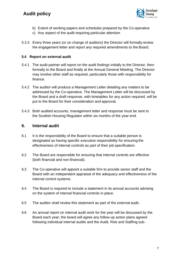

- b) Extent of working papers and schedules prepared by the Co-operative
- c) Any aspect of the audit requiring particular attention
- 5.3.3 Every three years (or on change of auditors) the Director will formally review the engagement letter and report any required amendments to the Board.

#### **5.4 Report on external audit**

- 5.4.1 The audit partner will report on the audit findings initially to the Director, then formally to the Board and finally at the Annual General Meeting. The Director may involve other staff as required, particularly those with responsibility for finance.
- 5.4.2 The auditor will produce a Management Letter detailing any matters to be addressed by the Co-operative. The Management Letter will be discussed by the Board and a draft response, with timetables for any action required, will be put to the Board for their consideration and approval.
- 5.4.3 Both audited accounts, management letter and response must be sent to the Scottish Housing Regulator within six months of the year-end.

### **6. Internal audit**

- 6.1 It is the responsibility of the Board to ensure that a suitable person is designated as having specific executive responsibility for ensuring the effectiveness of internal controls as part of their job specification.
- 6.2 The Board are responsible for ensuring that internal controls are effective (both financial and non-financial).
- 6.3 The Co-operative will appoint a suitable firm to provide senior staff and the Board with an independent appraisal of the adequacy and effectiveness of the internal control systems.
- 6.4 The Board is required to include a statement in its annual accounts advising on the system of internal financial controls in place.
- 6.5 The auditor shall review this statement as part of the external audit.
- 6.6 An annual report on internal audit work for the year will be discussed by the Board each year; the board will agree any follow-up action plans agreed following individual internal audits and the Audit, Risk and Staffing sub-